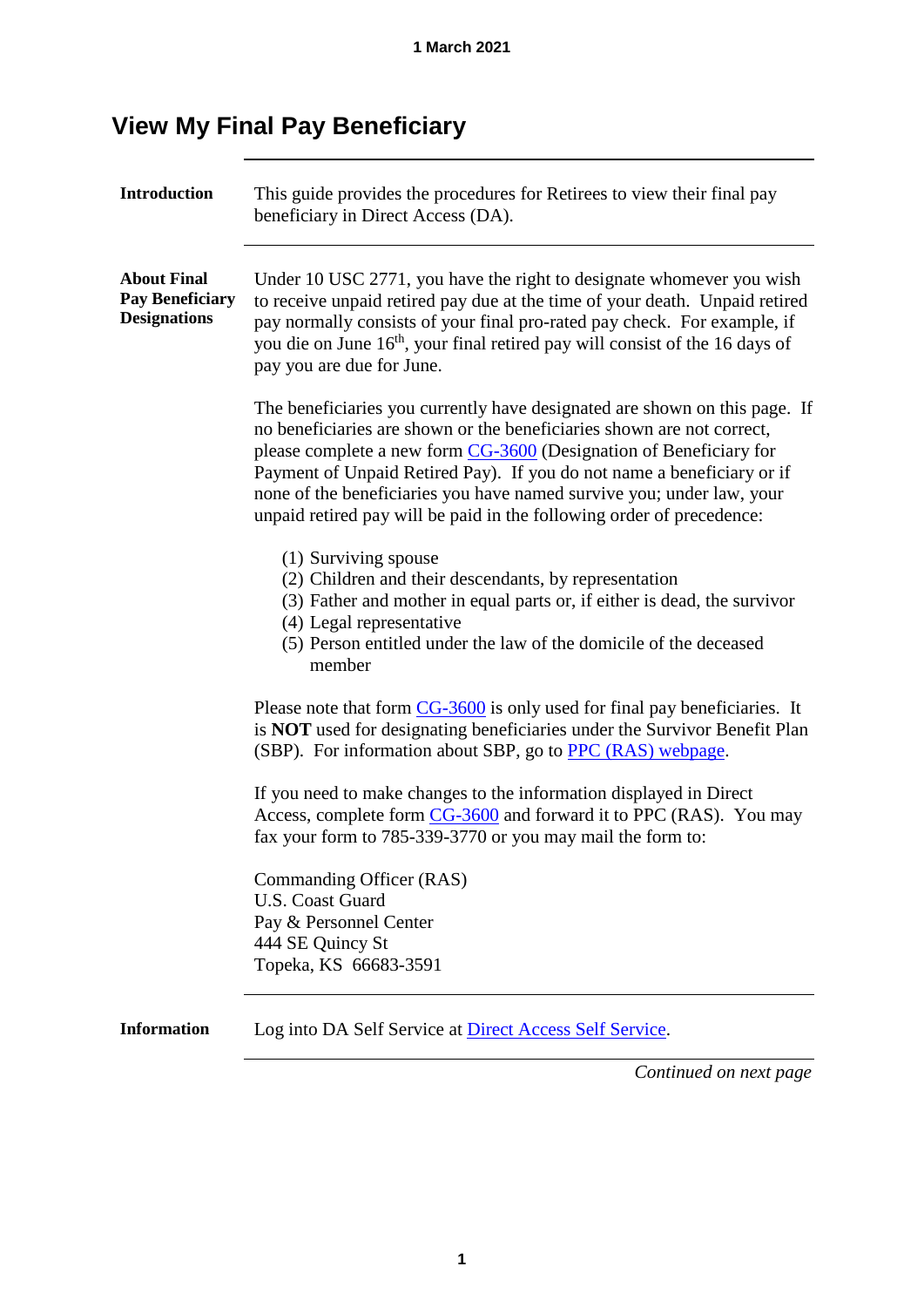# **View My Final Pay Beneficiary**

| <b>Introduction</b>                                                 | This guide provides the procedures for Retirees to view their final pay<br>beneficiary in Direct Access (DA).                                                                                                                                                                                                                                                                                                                                          |  |  |  |  |
|---------------------------------------------------------------------|--------------------------------------------------------------------------------------------------------------------------------------------------------------------------------------------------------------------------------------------------------------------------------------------------------------------------------------------------------------------------------------------------------------------------------------------------------|--|--|--|--|
| <b>About Final</b><br><b>Pay Beneficiary</b><br><b>Designations</b> | Under 10 USC 2771, you have the right to designate whomever you wish<br>to receive unpaid retired pay due at the time of your death. Unpaid retired<br>pay normally consists of your final pro-rated pay check. For example, if<br>you die on June 16 <sup>th</sup> , your final retired pay will consist of the 16 days of<br>pay you are due for June.                                                                                               |  |  |  |  |
|                                                                     | The beneficiaries you currently have designated are shown on this page. If<br>no beneficiaries are shown or the beneficiaries shown are not correct,<br>please complete a new form CG-3600 (Designation of Beneficiary for<br>Payment of Unpaid Retired Pay). If you do not name a beneficiary or if<br>none of the beneficiaries you have named survive you; under law, your<br>unpaid retired pay will be paid in the following order of precedence: |  |  |  |  |
|                                                                     | (1) Surviving spouse<br>(2) Children and their descendants, by representation<br>(3) Father and mother in equal parts or, if either is dead, the survivor<br>(4) Legal representative<br>(5) Person entitled under the law of the domicile of the deceased<br>member                                                                                                                                                                                   |  |  |  |  |
|                                                                     | Please note that form $CG-3600$ is only used for final pay beneficiaries. It<br>is NOT used for designating beneficiaries under the Survivor Benefit Plan<br>(SBP). For information about SBP, go to PPC (RAS) webpage.                                                                                                                                                                                                                                |  |  |  |  |
|                                                                     | If you need to make changes to the information displayed in Direct<br>Access, complete form CG-3600 and forward it to PPC (RAS). You may<br>fax your form to 785-339-3770 or you may mail the form to:                                                                                                                                                                                                                                                 |  |  |  |  |
|                                                                     | Commanding Officer (RAS)<br><b>U.S. Coast Guard</b><br>Pay & Personnel Center<br>444 SE Quincy St<br>Topeka, KS 66683-3591                                                                                                                                                                                                                                                                                                                             |  |  |  |  |
| <b>Information</b>                                                  | Log into DA Self Service at <b>Direct Access Self Service</b> .<br>Continued on next page                                                                                                                                                                                                                                                                                                                                                              |  |  |  |  |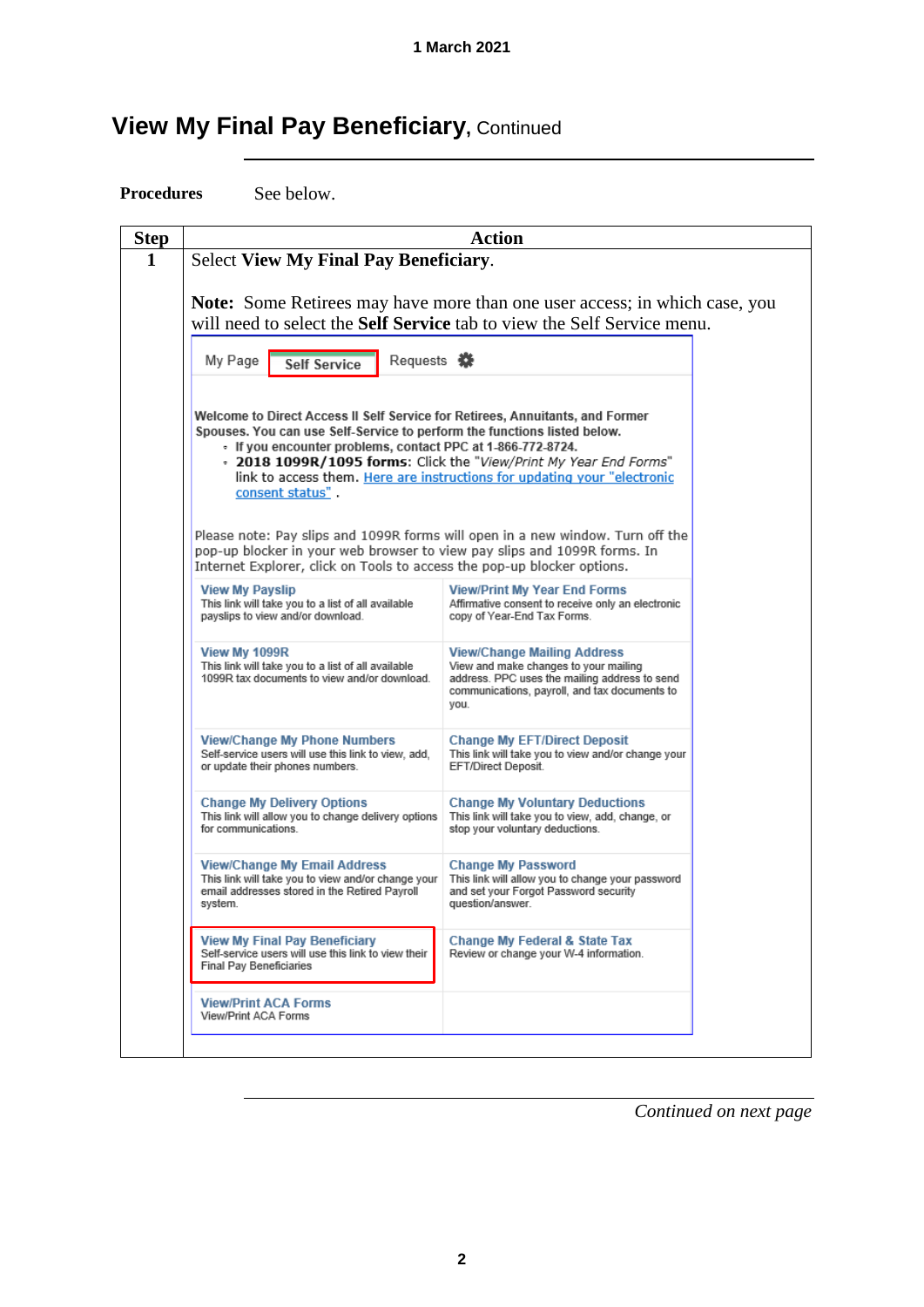# **View My Final Pay Beneficiary, Continued**

**Procedures** See below.

| <b>Step</b> | <b>Action</b>                                                                                                                                                                                                                                                                                                            |                                                                                                                                                                                                                                 |  |  |  |  |  |
|-------------|--------------------------------------------------------------------------------------------------------------------------------------------------------------------------------------------------------------------------------------------------------------------------------------------------------------------------|---------------------------------------------------------------------------------------------------------------------------------------------------------------------------------------------------------------------------------|--|--|--|--|--|
| 1           | <b>Select View My Final Pay Beneficiary.</b>                                                                                                                                                                                                                                                                             |                                                                                                                                                                                                                                 |  |  |  |  |  |
|             |                                                                                                                                                                                                                                                                                                                          | <b>Note:</b> Some Retirees may have more than one user access; in which case, you<br>will need to select the <b>Self Service</b> tab to view the Self Service menu.                                                             |  |  |  |  |  |
|             | Requests <b>萘</b><br>My Page<br><b>Self Service</b>                                                                                                                                                                                                                                                                      |                                                                                                                                                                                                                                 |  |  |  |  |  |
|             | Welcome to Direct Access II Self Service for Retirees, Annuitants, and Former<br>Spouses. You can use Self-Service to perform the functions listed below.<br>• If you encounter problems, contact PPC at 1-866-772-8724.<br>consent status".<br>pop-up blocker in your web browser to view pay slips and 1099R forms. In | - 2018 1099R/1095 forms: Click the "View/Print My Year End Forms"<br>link to access them. Here are instructions for updating your "electronic<br>Please note: Pay slips and 1099R forms will open in a new window. Turn off the |  |  |  |  |  |
|             | Internet Explorer, click on Tools to access the pop-up blocker options.<br><b>View My Payslip</b><br>This link will take you to a list of all available<br>payslips to view and/or download.                                                                                                                             | <b>View/Print My Year End Forms</b><br>Affirmative consent to receive only an electronic<br>copy of Year-End Tax Forms.                                                                                                         |  |  |  |  |  |
|             | View My 1099R<br>This link will take you to a list of all available<br>1099R tax documents to view and/or download.                                                                                                                                                                                                      | <b>View/Change Mailing Address</b><br>View and make changes to your mailing<br>address. PPC uses the mailing address to send<br>communications, payroll, and tax documents to<br>you.                                           |  |  |  |  |  |
|             | View/Change My Phone Numbers<br>Self-service users will use this link to view, add,<br>or update their phones numbers.                                                                                                                                                                                                   | <b>Change My EFT/Direct Deposit</b><br>This link will take you to view and/or change your<br>EFT/Direct Deposit.                                                                                                                |  |  |  |  |  |
|             | <b>Change My Delivery Options</b><br>This link will allow you to change delivery options<br>for communications.                                                                                                                                                                                                          | <b>Change My Voluntary Deductions</b><br>This link will take you to view, add, change, or<br>stop your voluntary deductions.                                                                                                    |  |  |  |  |  |
|             | <b>View/Change My Email Address</b><br>This link will take you to view and/or change your<br>email addresses stored in the Retired Pavroll<br>system.                                                                                                                                                                    | <b>Change My Password</b><br>This link will allow you to change your password<br>and set your Forgot Password security<br>question/answer.                                                                                      |  |  |  |  |  |
|             | <b>View My Final Pay Beneficiary</b><br>Self-service users will use this link to view their<br><b>Final Pav Beneficiaries</b>                                                                                                                                                                                            | Change My Federal & State Tax<br>Review or change your W-4 information.                                                                                                                                                         |  |  |  |  |  |
|             | <b>View/Print ACA Forms</b><br>View/Print ACA Forms                                                                                                                                                                                                                                                                      |                                                                                                                                                                                                                                 |  |  |  |  |  |
|             |                                                                                                                                                                                                                                                                                                                          |                                                                                                                                                                                                                                 |  |  |  |  |  |

*Continued on next page*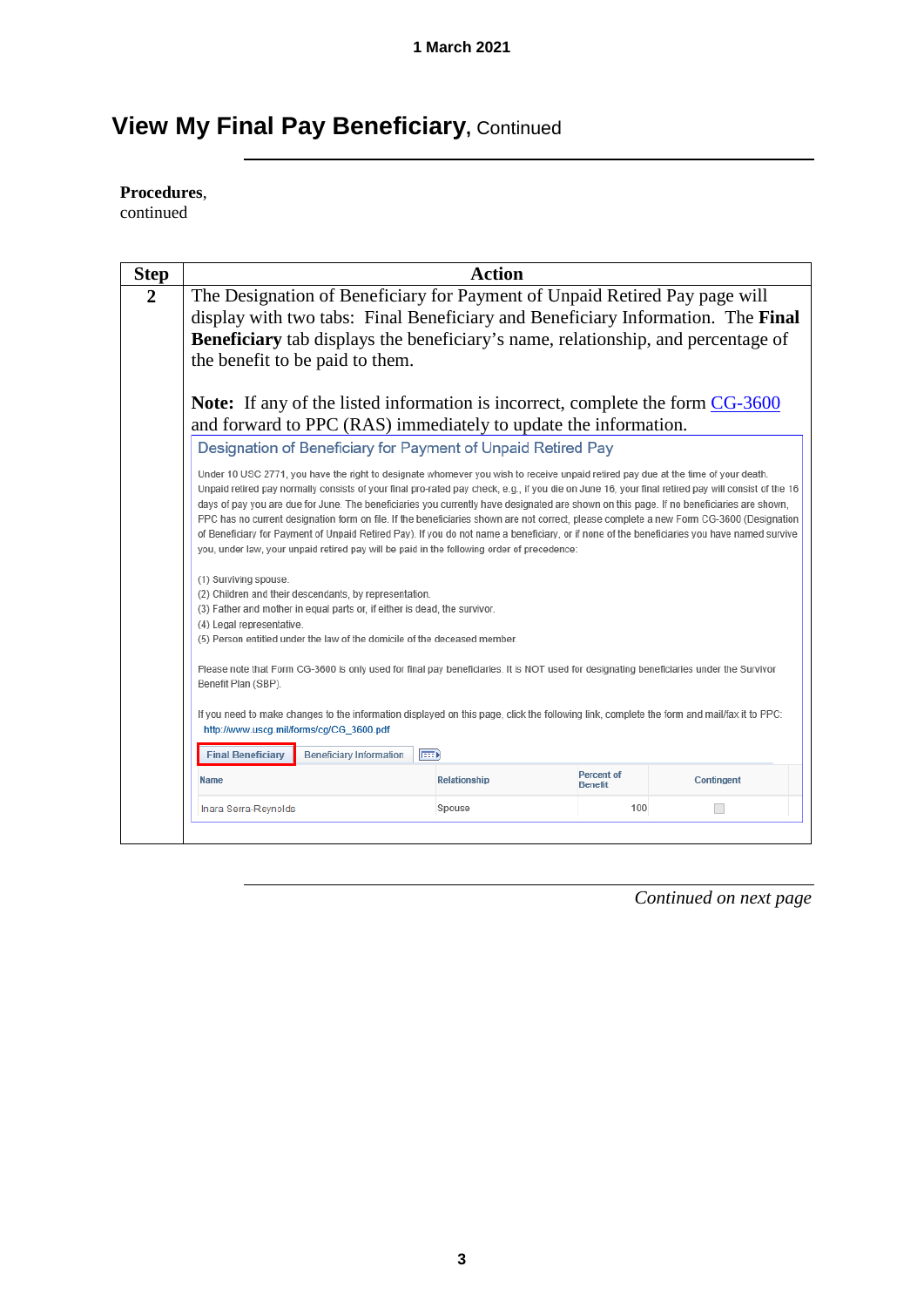# **View My Final Pay Beneficiary, Continued**

## **Procedures**,

continued

| <b>Step</b>    |                                                                                                                                                                                                                                                                                                                                                                                                                                                                                                                                                                                                                                                                                                                                                                                                                              | <b>Action</b>                                                |                              |            |  |  |  |
|----------------|------------------------------------------------------------------------------------------------------------------------------------------------------------------------------------------------------------------------------------------------------------------------------------------------------------------------------------------------------------------------------------------------------------------------------------------------------------------------------------------------------------------------------------------------------------------------------------------------------------------------------------------------------------------------------------------------------------------------------------------------------------------------------------------------------------------------------|--------------------------------------------------------------|------------------------------|------------|--|--|--|
| $\overline{2}$ | The Designation of Beneficiary for Payment of Unpaid Retired Pay page will<br>display with two tabs: Final Beneficiary and Beneficiary Information. The Final<br><b>Beneficiary</b> tab displays the beneficiary's name, relationship, and percentage of<br>the benefit to be paid to them.                                                                                                                                                                                                                                                                                                                                                                                                                                                                                                                                  |                                                              |                              |            |  |  |  |
|                | Note: If any of the listed information is incorrect, complete the form CG-3600<br>and forward to PPC (RAS) immediately to update the information.                                                                                                                                                                                                                                                                                                                                                                                                                                                                                                                                                                                                                                                                            |                                                              |                              |            |  |  |  |
|                |                                                                                                                                                                                                                                                                                                                                                                                                                                                                                                                                                                                                                                                                                                                                                                                                                              | Designation of Beneficiary for Payment of Unpaid Retired Pay |                              |            |  |  |  |
|                | Under 10 USC 2771, you have the right to designate whomever you wish to receive unpaid retired pay due at the time of your death.<br>Unpaid retired pay normally consists of your final pro-rated pay check, e.g., if you die on June 16, your final retired pay will consist of the 16<br>days of pay you are due for June. The beneficiaries you currently have designated are shown on this page. If no beneficiaries are shown,<br>PPC has no current designation form on file. If the beneficiaries shown are not correct, please complete a new Form CG-3600 (Designation<br>of Beneficiary for Payment of Unpaid Retired Pay). If you do not name a beneficiary, or if none of the beneficiaries you have named survive<br>you, under law, your unpaid retired pay will be paid in the following order of precedence: |                                                              |                              |            |  |  |  |
|                | (1) Surviving spouse.<br>(2) Children and their descendants, by representation.<br>(3) Father and mother in equal parts or, if either is dead, the survivor.<br>(4) Legal representative.<br>(5) Person entitled under the law of the domicile of the deceased member.                                                                                                                                                                                                                                                                                                                                                                                                                                                                                                                                                       |                                                              |                              |            |  |  |  |
|                | Please note that Form CG-3600 is only used for final pay beneficiaries. It is NOT used for designating beneficiaries under the Survivor<br>Benefit Plan (SBP).                                                                                                                                                                                                                                                                                                                                                                                                                                                                                                                                                                                                                                                               |                                                              |                              |            |  |  |  |
|                | If you need to make changes to the information displayed on this page, click the following link, complete the form and mail/fax it to PPC:<br>http://www.uscq.mil/forms/cq/CG 3600.pdf                                                                                                                                                                                                                                                                                                                                                                                                                                                                                                                                                                                                                                       |                                                              |                              |            |  |  |  |
|                | <b>Beneficiary Information</b><br>(FEED)<br><b>Final Beneficiary</b>                                                                                                                                                                                                                                                                                                                                                                                                                                                                                                                                                                                                                                                                                                                                                         |                                                              |                              |            |  |  |  |
|                | <b>Name</b>                                                                                                                                                                                                                                                                                                                                                                                                                                                                                                                                                                                                                                                                                                                                                                                                                  | Relationship                                                 | Percent of<br><b>Benefit</b> | Contingent |  |  |  |
|                | Inara Serra-Reynolds                                                                                                                                                                                                                                                                                                                                                                                                                                                                                                                                                                                                                                                                                                                                                                                                         | Spouse                                                       | 100                          |            |  |  |  |
|                |                                                                                                                                                                                                                                                                                                                                                                                                                                                                                                                                                                                                                                                                                                                                                                                                                              |                                                              |                              |            |  |  |  |

*Continued on next page*